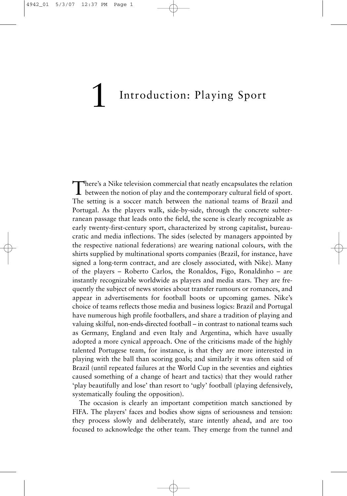## Introduction: Playing Sport

There's a Nike television commercial that neatly encapsulates the relation<br>between the notion of play and the contemporary cultural field of sport. The setting is a soccer match between the national teams of Brazil and Portugal. As the players walk, side-by-side, through the concrete subterranean passage that leads onto the field, the scene is clearly recognizable as early twenty-first-century sport, characterized by strong capitalist, bureaucratic and media inflections. The sides (selected by managers appointed by the respective national federations) are wearing national colours, with the shirts supplied by multinational sports companies (Brazil, for instance, have signed a long-term contract, and are closely associated, with Nike). Many of the players – Roberto Carlos, the Ronaldos, Figo, Ronaldinho – are instantly recognizable worldwide as players and media stars. They are frequently the subject of news stories about transfer rumours or romances, and appear in advertisements for football boots or upcoming games. Nike's choice of teams reflects those media and business logics: Brazil and Portugal have numerous high profile footballers, and share a tradition of playing and valuing skilful, non-ends-directed football – in contrast to national teams such as Germany, England and even Italy and Argentina, which have usually adopted a more cynical approach. One of the criticisms made of the highly talented Portugese team, for instance, is that they are more interested in playing with the ball than scoring goals; and similarly it was often said of Brazil (until repeated failures at the World Cup in the seventies and eighties caused something of a change of heart and tactics) that they would rather 'play beautifully and lose' than resort to 'ugly' football (playing defensively, systematically fouling the opposition).

The occasion is clearly an important competition match sanctioned by FIFA. The players' faces and bodies show signs of seriousness and tension: they process slowly and deliberately, stare intently ahead, and are too focused to acknowledge the other team. They emerge from the tunnel and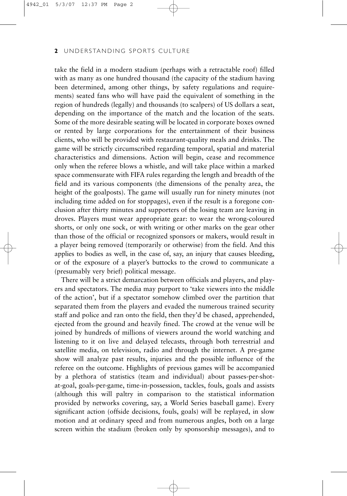## **2** UNDERSTANDING SPORTS CULTURE

take the field in a modern stadium (perhaps with a retractable roof) filled with as many as one hundred thousand (the capacity of the stadium having been determined, among other things, by safety regulations and requirements) seated fans who will have paid the equivalent of something in the region of hundreds (legally) and thousands (to scalpers) of US dollars a seat, depending on the importance of the match and the location of the seats. Some of the more desirable seating will be located in corporate boxes owned or rented by large corporations for the entertainment of their business clients, who will be provided with restaurant-quality meals and drinks. The game will be strictly circumscribed regarding temporal, spatial and material characteristics and dimensions. Action will begin, cease and recommence only when the referee blows a whistle, and will take place within a marked space commensurate with FIFA rules regarding the length and breadth of the field and its various components (the dimensions of the penalty area, the height of the goalposts). The game will usually run for ninety minutes (not including time added on for stoppages), even if the result is a foregone conclusion after thirty minutes and supporters of the losing team are leaving in droves. Players must wear appropriate gear: to wear the wrong-coloured shorts, or only one sock, or with writing or other marks on the gear other than those of the official or recognized sponsors or makers, would result in a player being removed (temporarily or otherwise) from the field. And this applies to bodies as well, in the case of, say, an injury that causes bleeding, or of the exposure of a player's buttocks to the crowd to communicate a (presumably very brief) political message.

There will be a strict demarcation between officials and players, and players and spectators. The media may purport to 'take viewers into the middle of the action', but if a spectator somehow climbed over the partition that separated them from the players and evaded the numerous trained security staff and police and ran onto the field, then they'd be chased, apprehended, ejected from the ground and heavily fined. The crowd at the venue will be joined by hundreds of millions of viewers around the world watching and listening to it on live and delayed telecasts, through both terrestrial and satellite media, on television, radio and through the internet. A pre-game show will analyze past results, injuries and the possible influence of the referee on the outcome. Highlights of previous games will be accompanied by a plethora of statistics (team and individual) about passes-per-shotat-goal, goals-per-game, time-in-possession, tackles, fouls, goals and assists (although this will paltry in comparison to the statistical information provided by networks covering, say, a World Series baseball game). Every significant action (offside decisions, fouls, goals) will be replayed, in slow motion and at ordinary speed and from numerous angles, both on a large screen within the stadium (broken only by sponsorship messages), and to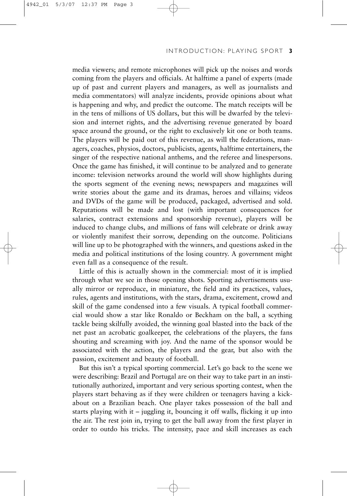## INTRODUCTION: PLAYING SPORT **3**

media viewers; and remote microphones will pick up the noises and words coming from the players and officials. At halftime a panel of experts (made up of past and current players and managers, as well as journalists and media commentators) will analyze incidents, provide opinions about what is happening and why, and predict the outcome. The match receipts will be in the tens of millions of US dollars, but this will be dwarfed by the television and internet rights, and the advertising revenue generated by board space around the ground, or the right to exclusively kit one or both teams. The players will be paid out of this revenue, as will the federations, managers, coaches, physios, doctors, publicists, agents, halftime entertainers, the singer of the respective national anthems, and the referee and linespersons. Once the game has finished, it will continue to be analyzed and to generate income: television networks around the world will show highlights during the sports segment of the evening news; newspapers and magazines will write stories about the game and its dramas, heroes and villains; videos and DVDs of the game will be produced, packaged, advertised and sold. Reputations will be made and lost (with important consequences for salaries, contract extensions and sponsorship revenue), players will be induced to change clubs, and millions of fans will celebrate or drink away or violently manifest their sorrow, depending on the outcome. Politicians will line up to be photographed with the winners, and questions asked in the media and political institutions of the losing country. A government might even fall as a consequence of the result.

Little of this is actually shown in the commercial: most of it is implied through what we see in those opening shots. Sporting advertisements usually mirror or reproduce, in miniature, the field and its practices, values, rules, agents and institutions, with the stars, drama, excitement, crowd and skill of the game condensed into a few visuals. A typical football commercial would show a star like Ronaldo or Beckham on the ball, a scything tackle being skilfully avoided, the winning goal blasted into the back of the net past an acrobatic goalkeeper, the celebrations of the players, the fans shouting and screaming with joy. And the name of the sponsor would be associated with the action, the players and the gear, but also with the passion, excitement and beauty of football.

But this isn't a typical sporting commercial. Let's go back to the scene we were describing: Brazil and Portugal are on their way to take part in an institutionally authorized, important and very serious sporting contest, when the players start behaving as if they were children or teenagers having a kickabout on a Brazilian beach. One player takes possession of the ball and starts playing with it – juggling it, bouncing it off walls, flicking it up into the air. The rest join in, trying to get the ball away from the first player in order to outdo his tricks. The intensity, pace and skill increases as each